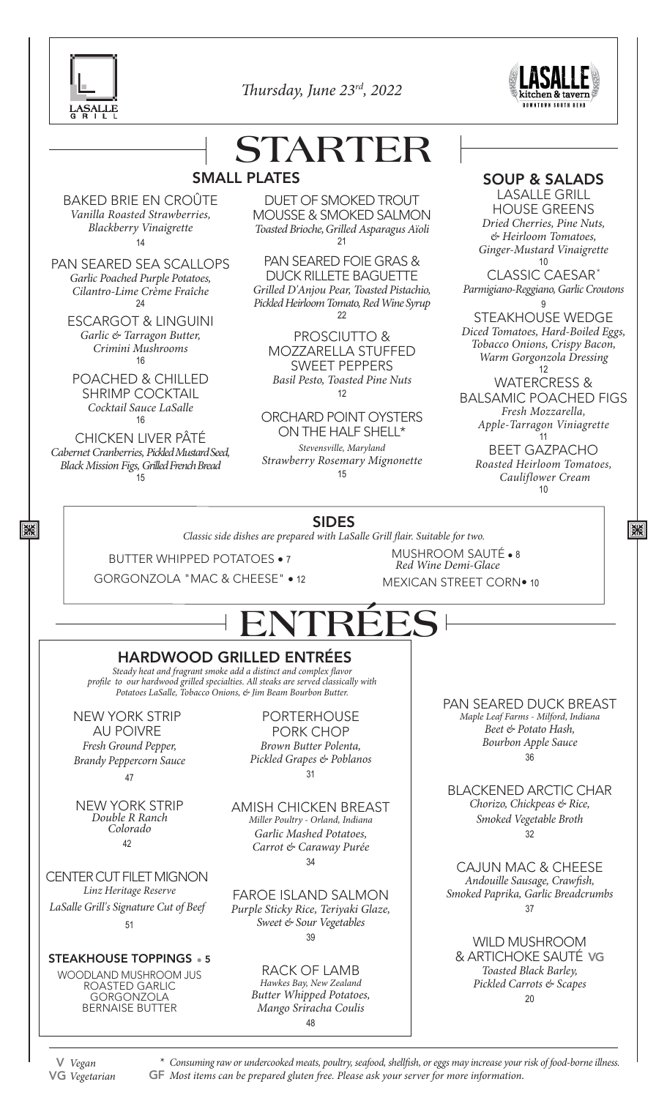



### **STARTER** SMALL PLATES

BAKED BRIE EN CROÛTE *Vanilla Roasted Strawberries, Blackberry Vinaigrette* 14

PAN SEARED SEA SCALLOPS *Garlic Poached Purple Potatoes, Cilantro-Lime Crème Fraîche* 24

ESCARGOT & LINGUINI *Garlic & Tarragon Butter, Crimini Mushrooms*  16

POACHED & CHILLED SHRIMP COCKTAIL *Cocktail Sauce LaSalle* 16

CHICKEN LIVER PÂTÉ *Cabernet Cranberries, Pickled Mustard Seed, Black Mission Figs, Grilled French Bread* 15

13%

DUET OF SMOKED TROUT MOUSSE & SMOKED SALMON *Toasted Brioche, Grilled Asparagus Aïoli* 21

PAN SEARED FOIE GRAS & DUCK RILLETE BAGUETTE *Grilled D'Anjou Pear, Toasted Pistachio, Pickled Heirloom Tomato, Red Wine Syrup* 22

PROSCIUTTO & MOZZARELLA STUFFED SWEET PEPPERS *Basil Pesto, Toasted Pine Nuts* 12

ORCHARD POINT OYSTERS ON THE HALF SHELL\*

*Stevensville, Maryland Strawberry Rosemary Mignonette* 15

### SOUP & SALADS

LASALLE GRILL HOUSE GREENS *Dried Cherries, Pine Nuts, & Heirloom Tomatoes, Ginger-Mustard Vinaigrette* 10

CLASSIC CAESAR\* *Parmigiano-Reggiano, Garlic Croutons*

9 STEAKHOUSE WEDGE *Diced Tomatoes, Hard-Boiled Eggs, Tobacco Onions, Crispy Bacon, Warm Gorgonzola Dressing* 12

WATERCRESS & BALSAMIC POACHED FIGS *Fresh Mozzarella, Apple-Tarragon Viniagrette*

11 BEET GAZPACHO *Roasted Heirloom Tomatoes, Cauliflower Cream* 10

13%

### SIDES

*Classic side dishes are prepared with LaSalle Grill flair. Suitable for two.*

BUTTER WHIPPED POTATOES • 7

GORGONZOLA "MAC & CHEESE" • 12

MUSHROOM SAUTÉ • 8 MEXICAN STREET CORN• 10 *Red Wine Demi-Glace*

# **ENTRÉES**

### HARDWOOD GRILLED ENTRÉES

*Steady heat and fragrant smoke add a distinct and complex flavor profile to our hardwood grilled specialties. All steaks are served classically with Potatoes LaSalle, Tobacco Onions, & Jim Beam Bourbon Butter.*

NEW YORK STRIP AU POIVRE *Fresh Ground Pepper, Brandy Peppercorn Sauce* 47

NEW YORK STRIP *Double R Ranch Colorado* 42

CENTER CUT FILET MIGNON *Linz Heritage Reserve LaSalle Grill's Signature Cut of Beef* 51

STEAKHOUSE TOPPINGS • 5

WOODLAND MUSHROOM JUS ROASTED GARLIC GORGONZOLA BERNAISE BUTTER

PORTERHOUSE PORK CHOP *Brown Butter Polenta, Pickled Grapes & Poblanos* 31

AMISH CHICKEN BREAST *Miller Poultry - Orland, Indiana Garlic Mashed Potatoes, Carrot & Caraway Purée* 34

FAROE ISLAND SALMON *Purple Sticky Rice, Teriyaki Glaze, Sweet & Sour Vegetables* 39

> RACK OF LAMB *Hawkes Bay, New Zealand Butter Whipped Potatoes, Mango Sriracha Coulis* 48

PAN SEARED DUCK BREAST *Maple Leaf Farms - Milford, Indiana Beet & Potato Hash, Bourbon Apple Sauce* 36

BLACKENED ARCTIC CHAR *Chorizo, Chickpeas & Rice, Smoked Vegetable Broth* 32

CAJUN MAC & CHEESE *Andouille Sausage, Crawfish, Smoked Paprika, Garlic Breadcrumbs* 37

WILD MUSHROOM & ARTICHOKE SAUTÉ VG *Toasted Black Barley, Pickled Carrots & Scapes* 20

V *Vegan* VG *Vegetarian*

*\* Consuming raw or undercooked meats, poultry, seafood, shellfish, or eggs may increase your risk of food-borne illness.* GF *Most items can be prepared gluten free. Please ask your server for more information.*